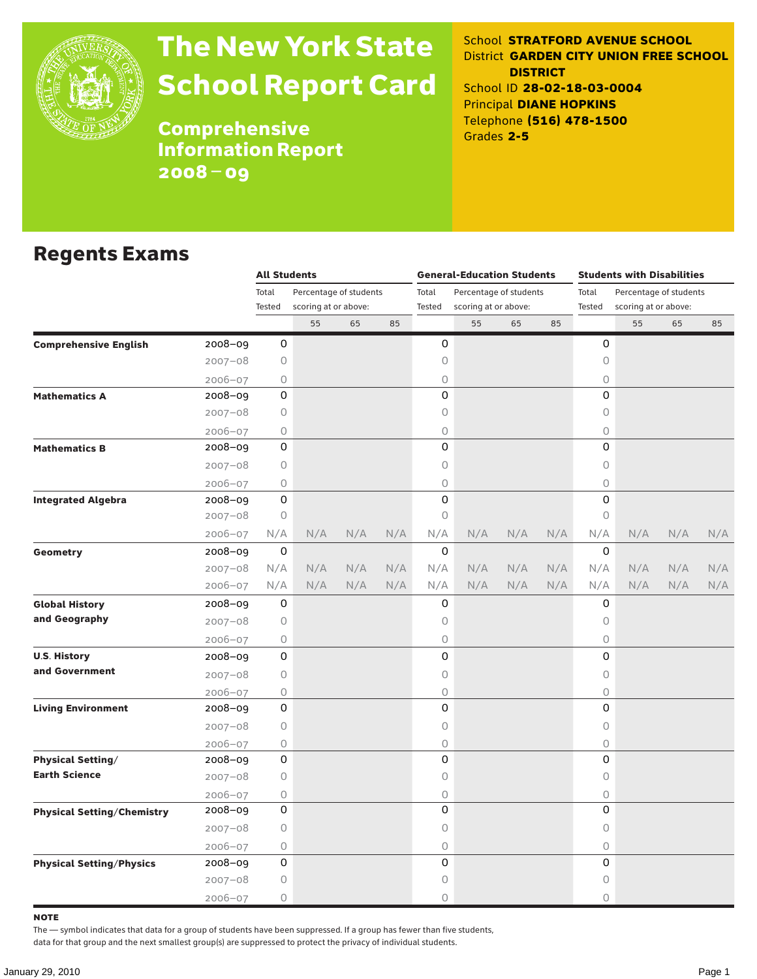

# The New York State School Report Card

School **STRATFORD AVENUE SCHOOL** District **GARDEN CITY UNION FREE SCHOOL DISTRICT** School ID **28-02-18-03-0004** Principal **DIANE HOPKINS** Telephone **(516) 478-1500** Grades **2-5**

**Comprehensive** Information Report 2008–09

#### Regents Exams

|                                   |                                                                                                                                                                                                                                                                                                        | <b>All Students</b>             |                      |       |                        | <b>General-Education Students</b> |                      |       | <b>Students with Disabilities</b> |             |                      |     |     |  |
|-----------------------------------|--------------------------------------------------------------------------------------------------------------------------------------------------------------------------------------------------------------------------------------------------------------------------------------------------------|---------------------------------|----------------------|-------|------------------------|-----------------------------------|----------------------|-------|-----------------------------------|-------------|----------------------|-----|-----|--|
|                                   |                                                                                                                                                                                                                                                                                                        | Percentage of students<br>Total |                      | Total | Percentage of students |                                   |                      | Total | Percentage of students            |             |                      |     |     |  |
|                                   |                                                                                                                                                                                                                                                                                                        | Tested                          | scoring at or above: |       |                        | Tested                            | scoring at or above: |       |                                   | Tested      | scoring at or above: |     |     |  |
|                                   |                                                                                                                                                                                                                                                                                                        |                                 | 55                   | 65    | 85                     |                                   | 55                   | 65    | 85                                |             | 55                   | 65  | 85  |  |
| <b>Comprehensive English</b>      | 2008-09                                                                                                                                                                                                                                                                                                | 0                               |                      |       |                        | 0                                 |                      |       |                                   | 0           |                      |     |     |  |
|                                   | $2007 - 08$                                                                                                                                                                                                                                                                                            | 0                               |                      |       |                        | 0                                 |                      |       |                                   | 0           |                      |     |     |  |
|                                   | $2006 - 07$                                                                                                                                                                                                                                                                                            | 0                               |                      |       |                        | 0                                 |                      |       |                                   | 0           |                      |     |     |  |
| <b>Mathematics A</b>              |                                                                                                                                                                                                                                                                                                        | 0                               |                      |       |                        | 0                                 |                      |       |                                   | 0           |                      |     |     |  |
|                                   |                                                                                                                                                                                                                                                                                                        | 0                               |                      |       |                        | 0                                 |                      |       |                                   | 0           |                      |     |     |  |
|                                   | $2006 - 07$                                                                                                                                                                                                                                                                                            | 0                               |                      |       |                        | 0                                 |                      |       |                                   | 0           |                      |     |     |  |
| <b>Mathematics B</b>              | 2008-09                                                                                                                                                                                                                                                                                                | 0                               |                      |       |                        | 0                                 |                      |       |                                   | 0           |                      |     |     |  |
|                                   |                                                                                                                                                                                                                                                                                                        | 0                               |                      |       |                        | 0                                 |                      |       |                                   | $\circ$     |                      |     |     |  |
|                                   | $2006 - 07$                                                                                                                                                                                                                                                                                            | 0                               |                      |       |                        | 0                                 |                      |       |                                   | 0           |                      |     |     |  |
| <b>Integrated Algebra</b>         | 2008-09                                                                                                                                                                                                                                                                                                | 0                               |                      |       |                        | 0                                 |                      |       |                                   | 0           |                      |     |     |  |
|                                   | $2007 - 08$                                                                                                                                                                                                                                                                                            | $\circ$                         |                      |       |                        | 0                                 |                      |       |                                   | 0           |                      |     |     |  |
|                                   | 2008-09<br>$2007 - 08$<br>$2007 - 08$<br>2006-07<br>2008-09<br>$2007 - 08$<br>2006-07<br>$2008 - 09$<br>$2007 - 08$<br>$2006 - 07$<br>2008-09<br>$2007 - 08$<br>$2006 - 07$<br>2008-09<br>$2007 - 08$<br>$2006 - 07$<br>2008-09<br>$2007 - 08$<br>$2006 - 07$<br>2008-09<br>$2007 - 08$<br>$2006 - 07$ | N/A                             | N/A                  | N/A   | N/A                    | N/A                               | N/A                  | N/A   | N/A                               | N/A         | N/A                  | N/A | N/A |  |
| Geometry                          |                                                                                                                                                                                                                                                                                                        | 0                               |                      |       |                        | 0                                 |                      |       |                                   | 0           |                      |     |     |  |
|                                   |                                                                                                                                                                                                                                                                                                        | N/A                             | N/A                  | N/A   | N/A                    | N/A                               | N/A                  | N/A   | N/A                               | N/A         | N/A                  | N/A | N/A |  |
|                                   |                                                                                                                                                                                                                                                                                                        | N/A                             | N/A                  | N/A   | N/A                    | N/A                               | N/A                  | N/A   | N/A                               | N/A         | N/A                  | N/A | N/A |  |
| <b>Global History</b>             |                                                                                                                                                                                                                                                                                                        | 0                               |                      |       |                        | 0                                 |                      |       |                                   | 0           |                      |     |     |  |
| and Geography                     |                                                                                                                                                                                                                                                                                                        | 0                               |                      |       |                        | 0                                 |                      |       |                                   | 0           |                      |     |     |  |
|                                   |                                                                                                                                                                                                                                                                                                        | 0                               |                      |       |                        | 0                                 |                      |       |                                   | 0           |                      |     |     |  |
| <b>U.S. History</b>               |                                                                                                                                                                                                                                                                                                        | 0                               |                      |       |                        | 0                                 |                      |       |                                   | 0           |                      |     |     |  |
| and Government                    |                                                                                                                                                                                                                                                                                                        | 0                               |                      |       |                        | 0                                 |                      |       |                                   | 0           |                      |     |     |  |
|                                   |                                                                                                                                                                                                                                                                                                        | 0                               |                      |       |                        | 0                                 |                      |       |                                   | $\circ$     |                      |     |     |  |
| <b>Living Environment</b>         |                                                                                                                                                                                                                                                                                                        | 0                               |                      |       |                        | 0                                 |                      |       |                                   | 0           |                      |     |     |  |
|                                   |                                                                                                                                                                                                                                                                                                        | 0                               |                      |       |                        | 0                                 |                      |       |                                   | 0           |                      |     |     |  |
|                                   |                                                                                                                                                                                                                                                                                                        | 0                               |                      |       |                        | 0                                 |                      |       |                                   | 0           |                      |     |     |  |
| <b>Physical Setting/</b>          |                                                                                                                                                                                                                                                                                                        | 0                               |                      |       |                        | 0                                 |                      |       |                                   | 0           |                      |     |     |  |
| <b>Earth Science</b>              |                                                                                                                                                                                                                                                                                                        | 0                               |                      |       |                        | 0                                 |                      |       |                                   | 0           |                      |     |     |  |
|                                   |                                                                                                                                                                                                                                                                                                        | 0                               |                      |       |                        | 0                                 |                      |       |                                   | $\bigcirc$  |                      |     |     |  |
| <b>Physical Setting/Chemistry</b> |                                                                                                                                                                                                                                                                                                        | 0                               |                      |       |                        | 0                                 |                      |       |                                   | 0           |                      |     |     |  |
|                                   |                                                                                                                                                                                                                                                                                                        | 0                               |                      |       |                        | 0                                 |                      |       |                                   | 0           |                      |     |     |  |
|                                   |                                                                                                                                                                                                                                                                                                        | 0                               |                      |       |                        | 0                                 |                      |       |                                   | $\mathsf O$ |                      |     |     |  |
| <b>Physical Setting/Physics</b>   | 2008-09                                                                                                                                                                                                                                                                                                | 0                               |                      |       |                        | 0                                 |                      |       |                                   | 0           |                      |     |     |  |
|                                   | $2007 - 08$                                                                                                                                                                                                                                                                                            | 0                               |                      |       |                        | 0                                 |                      |       |                                   | 0           |                      |     |     |  |
|                                   | $2006 - 07$                                                                                                                                                                                                                                                                                            | 0                               |                      |       |                        | 0                                 |                      |       |                                   | $\Omega$    |                      |     |     |  |

note

The — symbol indicates that data for a group of students have been suppressed. If a group has fewer than five students,

data for that group and the next smallest group(s) are suppressed to protect the privacy of individual students.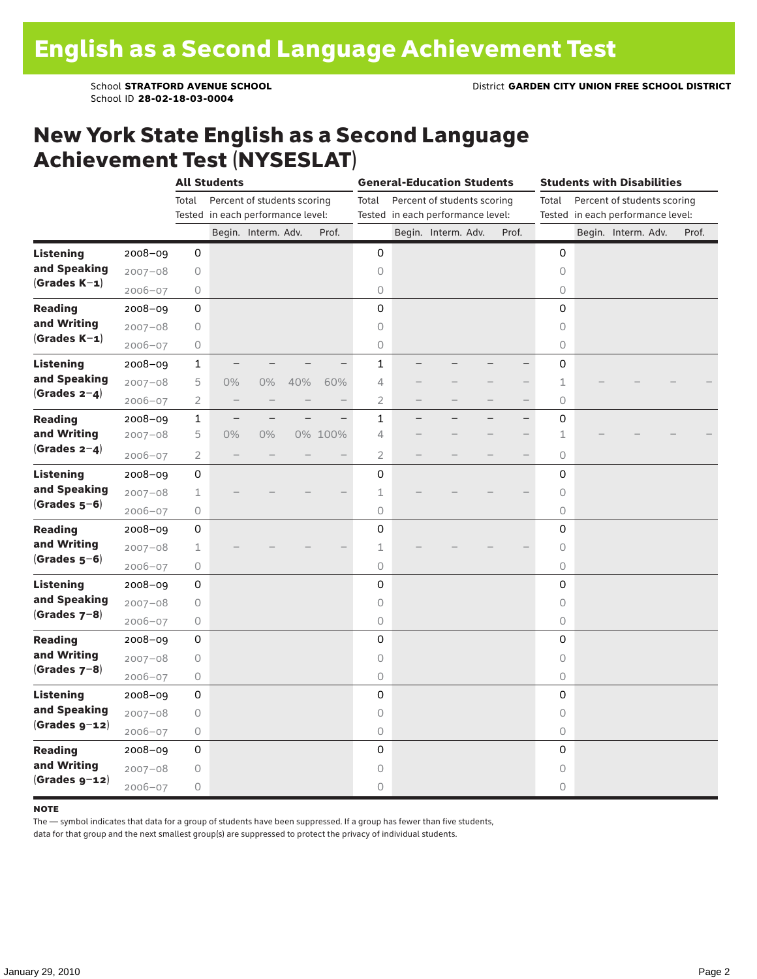School ID **28-02-18-03-0004**

### New York State English as a Second Language Achievement Test (NYSESLAT)

|                  |             | <b>All Students</b> |                                   |                             |     | <b>General-Education Students</b> |                |                          |                                   |  | <b>Students with Disabilities</b> |                     |                                   |                             |  |       |
|------------------|-------------|---------------------|-----------------------------------|-----------------------------|-----|-----------------------------------|----------------|--------------------------|-----------------------------------|--|-----------------------------------|---------------------|-----------------------------------|-----------------------------|--|-------|
|                  |             | Total               |                                   | Percent of students scoring |     |                                   | Total          |                          | Percent of students scoring       |  |                                   | Total               |                                   | Percent of students scoring |  |       |
|                  |             |                     | Tested in each performance level: |                             |     |                                   |                |                          | Tested in each performance level: |  |                                   |                     | Tested in each performance level: |                             |  |       |
|                  |             |                     |                                   | Begin. Interm. Adv.         |     | Prof.                             |                |                          | Begin. Interm. Adv.               |  | Prof.                             |                     |                                   | Begin. Interm. Adv.         |  | Prof. |
| <b>Listening</b> | 2008-09     | 0                   |                                   |                             |     |                                   | 0              |                          |                                   |  |                                   | 0                   |                                   |                             |  |       |
| and Speaking     | $2007 - 08$ | 0                   |                                   |                             |     |                                   | $\circ$        |                          |                                   |  |                                   | $\circ$             |                                   |                             |  |       |
| $(Grades K-1)$   | $2006 - 07$ | 0                   |                                   |                             |     |                                   | $\circ$        |                          |                                   |  |                                   | 0                   |                                   |                             |  |       |
| <b>Reading</b>   | $2008 - 09$ | 0                   |                                   |                             |     |                                   | $\mathbf 0$    |                          |                                   |  |                                   | 0                   |                                   |                             |  |       |
| and Writing      | $2007 - 08$ | 0                   |                                   |                             |     |                                   | 0              |                          |                                   |  |                                   | 0                   |                                   |                             |  |       |
| $(Grades K-1)$   | $2006 - 07$ | 0                   |                                   |                             |     |                                   | $\mathsf O$    |                          |                                   |  |                                   | 0                   |                                   |                             |  |       |
| <b>Listening</b> | $2008 - 09$ | 1                   |                                   |                             |     |                                   | $\mathbf{1}$   |                          |                                   |  |                                   | 0                   |                                   |                             |  |       |
| and Speaking     | $2007 - 08$ | 5                   | $0\%$                             | $0\%$                       | 40% | 60%                               | 4              |                          |                                   |  |                                   | 1                   |                                   |                             |  |       |
| (Grades $2-4$ )  | $2006 - 07$ | $\overline{2}$      | $\qquad \qquad -$                 |                             |     |                                   | $\overline{2}$ |                          |                                   |  | $\qquad \qquad -$                 | $\circ$             |                                   |                             |  |       |
| <b>Reading</b>   | $2008 - 09$ | $\mathbf 1$         | $\overline{\phantom{0}}$          |                             |     |                                   | $\mathbf{1}$   | $\overline{\phantom{0}}$ |                                   |  | $-$                               | 0                   |                                   |                             |  |       |
| and Writing      | $2007 - 08$ | 5                   | $0\%$                             | 0%                          |     | 0% 100%                           | 4              |                          |                                   |  |                                   | 1                   |                                   |                             |  |       |
| (Grades $2-4$ )  | $2006 - 07$ | 2                   |                                   |                             |     |                                   | 2              |                          |                                   |  |                                   | 0                   |                                   |                             |  |       |
| <b>Listening</b> | 2008-09     | 0                   |                                   |                             |     |                                   | 0              |                          |                                   |  |                                   | 0                   |                                   |                             |  |       |
| and Speaking     | $2007 - 08$ | $\mathbf 1$         |                                   |                             |     |                                   | 1              |                          |                                   |  |                                   | $\circ$             |                                   |                             |  |       |
| $(Grades 5-6)$   | $2006 - 07$ | 0                   |                                   |                             |     |                                   | $\circ$        |                          |                                   |  |                                   | 0                   |                                   |                             |  |       |
| <b>Reading</b>   | $2008 - 09$ | 0                   |                                   |                             |     |                                   | $\mathbf 0$    |                          |                                   |  |                                   | 0                   |                                   |                             |  |       |
| and Writing      | $2007 - 08$ | $\mathbf 1$         |                                   |                             |     |                                   | $\perp$        |                          |                                   |  |                                   | $\circlearrowright$ |                                   |                             |  |       |
| $(Grades 5-6)$   | $2006 - 07$ | 0                   |                                   |                             |     |                                   | 0              |                          |                                   |  |                                   | 0                   |                                   |                             |  |       |
| <b>Listening</b> | $2008 - 09$ | 0                   |                                   |                             |     |                                   | 0              |                          |                                   |  |                                   | 0                   |                                   |                             |  |       |
| and Speaking     | $2007 - 08$ | 0                   |                                   |                             |     |                                   | $\circ$        |                          |                                   |  |                                   | $\circ$             |                                   |                             |  |       |
| (Grades $7-8$ )  | $2006 - 07$ | 0                   |                                   |                             |     |                                   | $\circ$        |                          |                                   |  |                                   | 0                   |                                   |                             |  |       |
| <b>Reading</b>   | $2008 - 09$ | 0                   |                                   |                             |     |                                   | $\mathbf 0$    |                          |                                   |  |                                   | 0                   |                                   |                             |  |       |
| and Writing      | $2007 - 08$ | 0                   |                                   |                             |     |                                   | 0              |                          |                                   |  |                                   | 0                   |                                   |                             |  |       |
| $(Grades 7-8)$   | $2006 - 07$ | 0                   |                                   |                             |     |                                   | 0              |                          |                                   |  |                                   | 0                   |                                   |                             |  |       |
| <b>Listening</b> | 2008-09     | 0                   |                                   |                             |     |                                   | 0              |                          |                                   |  |                                   | 0                   |                                   |                             |  |       |
| and Speaking     | $2007 - 08$ | 0                   |                                   |                             |     |                                   | $\circ$        |                          |                                   |  |                                   | $\circ$             |                                   |                             |  |       |
| $(Grades g-12)$  | $2006 - 07$ | 0                   |                                   |                             |     |                                   | $\circ$        |                          |                                   |  |                                   | $\circ$             |                                   |                             |  |       |
| <b>Reading</b>   | 2008-09     | 0                   |                                   |                             |     |                                   | 0              |                          |                                   |  |                                   | 0                   |                                   |                             |  |       |
| and Writing      | $2007 - 08$ | 0                   |                                   |                             |     |                                   | 0              |                          |                                   |  |                                   | $\circ$             |                                   |                             |  |       |
| $(Grades g-12)$  | $2006 - 07$ | 0                   |                                   |                             |     |                                   | $\circ$        |                          |                                   |  |                                   | 0                   |                                   |                             |  |       |

#### **NOTE**

The — symbol indicates that data for a group of students have been suppressed. If a group has fewer than five students,

data for that group and the next smallest group(s) are suppressed to protect the privacy of individual students.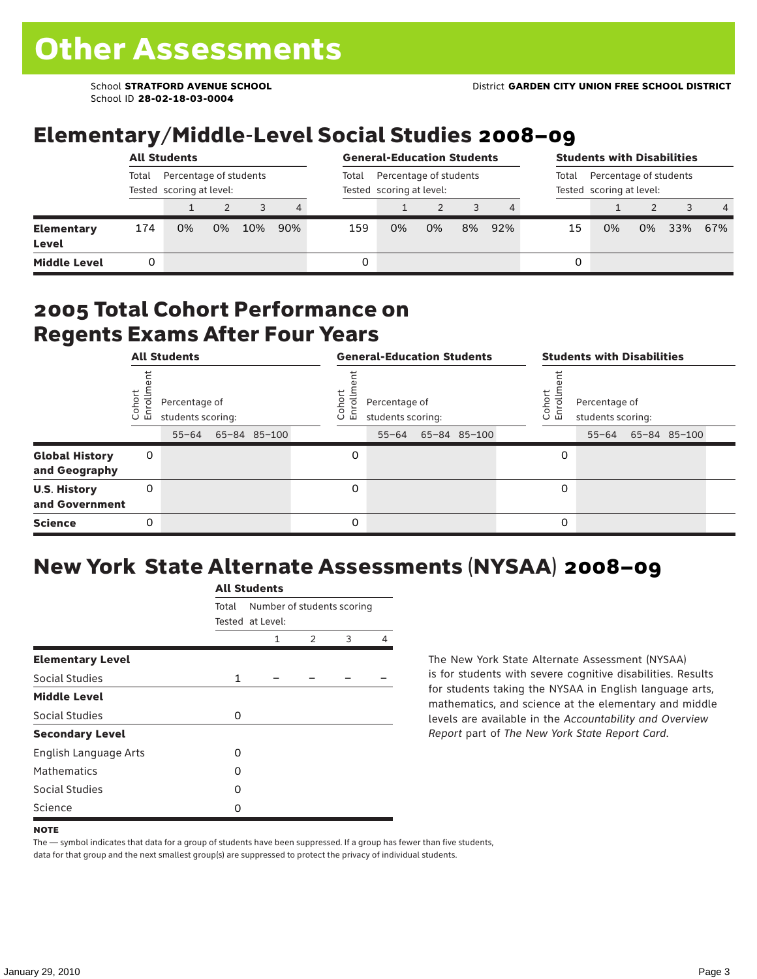School ID **28-02-18-03-0004**

# Elementary/Middle-Level Social Studies 2008–09

|                                   |                                                             | <b>All Students</b> |    | <b>General-Education Students</b> |     |       | <b>Students with Disabilities</b>                  |    |    |     |                                                             |    |    |     |                |
|-----------------------------------|-------------------------------------------------------------|---------------------|----|-----------------------------------|-----|-------|----------------------------------------------------|----|----|-----|-------------------------------------------------------------|----|----|-----|----------------|
|                                   | Percentage of students<br>Total<br>Tested scoring at level: |                     |    |                                   |     | Total | Percentage of students<br>Tested scoring at level: |    |    |     | Percentage of students<br>Total<br>Tested scoring at level: |    |    |     |                |
|                                   |                                                             |                     |    |                                   | 4   |       |                                                    |    |    |     |                                                             |    |    |     | $\overline{4}$ |
| <b>Elementary</b><br><b>Level</b> | 174                                                         | 0%                  | 0% | 10%                               | 90% | 159   | 0%                                                 | 0% | 8% | 92% | 15                                                          | 0% | 0% | 33% | 67%            |
| <b>Middle Level</b>               |                                                             |                     |    |                                   |     | 0     |                                                    |    |    |     | 0                                                           |    |    |     |                |

#### 2005 Total Cohort Performance on Regents Exams After Four Years

|                                        | <b>All Students</b><br>Cohor<br>Enroll<br>Percentage of<br>students scoring:<br>65-84 85-100<br>$55 - 64$<br>0<br>0 |  |  |  | <b>General-Education Students</b> |                                                 |  |              |  |                   | <b>Students with Disabilities</b>  |  |                    |  |  |  |
|----------------------------------------|---------------------------------------------------------------------------------------------------------------------|--|--|--|-----------------------------------|-------------------------------------------------|--|--------------|--|-------------------|------------------------------------|--|--------------------|--|--|--|
|                                        |                                                                                                                     |  |  |  | Coho<br>o.<br>屲                   | Percentage of<br>students scoring:<br>$55 - 64$ |  | 65-84 85-100 |  | Cohort<br>o.<br>멷 | Percentage of<br>students scoring: |  | 55-64 65-84 85-100 |  |  |  |
| <b>Global History</b><br>and Geography |                                                                                                                     |  |  |  | 0                                 |                                                 |  |              |  | 0                 |                                    |  |                    |  |  |  |
| <b>U.S. History</b><br>and Government  |                                                                                                                     |  |  |  | 0                                 |                                                 |  |              |  | 0                 |                                    |  |                    |  |  |  |
| <b>Science</b>                         | 0                                                                                                                   |  |  |  | 0                                 |                                                 |  |              |  | 0                 |                                    |  |                    |  |  |  |

# New York State Alternate Assessments (NYSAA) 2008–09

|                              |              | <b>All Students</b>                            |               |   |   |  |  |  |
|------------------------------|--------------|------------------------------------------------|---------------|---|---|--|--|--|
|                              | Total        | Number of students scoring<br>Tested at Level: |               |   |   |  |  |  |
|                              |              | 1                                              | $\mathcal{P}$ | 3 | 4 |  |  |  |
| <b>Elementary Level</b>      |              |                                                |               |   |   |  |  |  |
| Social Studies               | $\mathbf{1}$ |                                                |               |   |   |  |  |  |
| <b>Middle Level</b>          |              |                                                |               |   |   |  |  |  |
| Social Studies               | 0            |                                                |               |   |   |  |  |  |
| <b>Secondary Level</b>       |              |                                                |               |   |   |  |  |  |
| <b>English Language Arts</b> | O            |                                                |               |   |   |  |  |  |
| <b>Mathematics</b>           | O            |                                                |               |   |   |  |  |  |
| <b>Social Studies</b>        | O            |                                                |               |   |   |  |  |  |
| Science                      | 0            |                                                |               |   |   |  |  |  |

The New York State Alternate Assessment (NYSAA) is for students with severe cognitive disabilities. Results for students taking the NYSAA in English language arts, mathematics, and science at the elementary and middle levels are available in the *Accountability and Overview Report* part of *The New York State Report Card*.

The — symbol indicates that data for a group of students have been suppressed. If a group has fewer than five students, data for that group and the next smallest group(s) are suppressed to protect the privacy of individual students.

**NOTE**